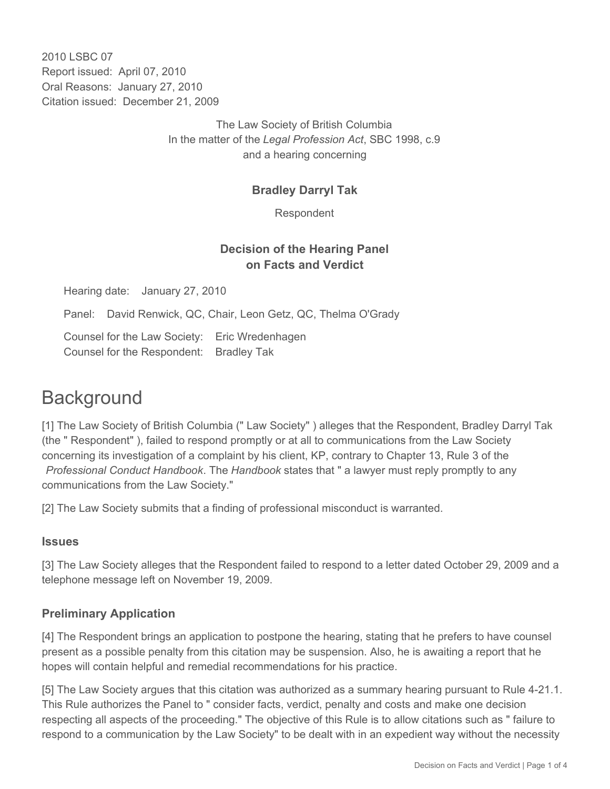2010 LSBC 07 Report issued: April 07, 2010 Oral Reasons: January 27, 2010 Citation issued: December 21, 2009

> The Law Society of British Columbia In the matter of the *Legal Profession Act*, SBC 1998, c.9 and a hearing concerning

## **Bradley Darryl Tak**

Respondent

## **Decision of the Hearing Panel on Facts and Verdict**

Hearing date: January 27, 2010

Panel: David Renwick, QC, Chair, Leon Getz, QC, Thelma O'Grady

Counsel for the Law Society: Eric Wredenhagen Counsel for the Respondent: Bradley Tak

# **Background**

[1] The Law Society of British Columbia (" Law Society" ) alleges that the Respondent, Bradley Darryl Tak (the " Respondent" ), failed to respond promptly or at all to communications from the Law Society concerning its investigation of a complaint by his client, KP, contrary to Chapter 13, Rule 3 of the *Professional Conduct Handbook*. The *Handbook* states that " a lawyer must reply promptly to any communications from the Law Society."

[2] The Law Society submits that a finding of professional misconduct is warranted.

#### **Issues**

[3] The Law Society alleges that the Respondent failed to respond to a letter dated October 29, 2009 and a telephone message left on November 19, 2009.

#### **Preliminary Application**

[4] The Respondent brings an application to postpone the hearing, stating that he prefers to have counsel present as a possible penalty from this citation may be suspension. Also, he is awaiting a report that he hopes will contain helpful and remedial recommendations for his practice.

[5] The Law Society argues that this citation was authorized as a summary hearing pursuant to Rule 4-21.1. This Rule authorizes the Panel to " consider facts, verdict, penalty and costs and make one decision respecting all aspects of the proceeding." The objective of this Rule is to allow citations such as " failure to respond to a communication by the Law Society" to be dealt with in an expedient way without the necessity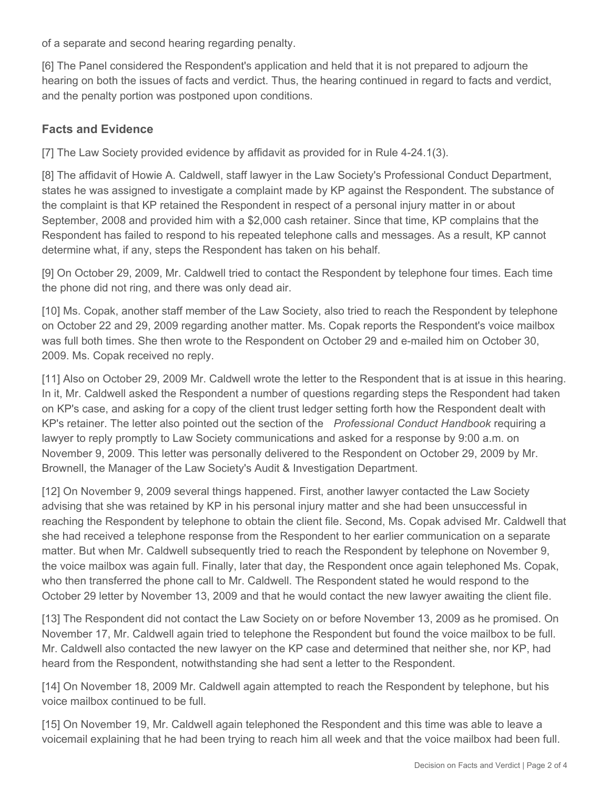of a separate and second hearing regarding penalty.

[6] The Panel considered the Respondent's application and held that it is not prepared to adjourn the hearing on both the issues of facts and verdict. Thus, the hearing continued in regard to facts and verdict, and the penalty portion was postponed upon conditions.

#### **Facts and Evidence**

[7] The Law Society provided evidence by affidavit as provided for in Rule 4-24.1(3).

[8] The affidavit of Howie A. Caldwell, staff lawyer in the Law Society's Professional Conduct Department, states he was assigned to investigate a complaint made by KP against the Respondent. The substance of the complaint is that KP retained the Respondent in respect of a personal injury matter in or about September, 2008 and provided him with a \$2,000 cash retainer. Since that time, KP complains that the Respondent has failed to respond to his repeated telephone calls and messages. As a result, KP cannot determine what, if any, steps the Respondent has taken on his behalf.

[9] On October 29, 2009, Mr. Caldwell tried to contact the Respondent by telephone four times. Each time the phone did not ring, and there was only dead air.

[10] Ms. Copak, another staff member of the Law Society, also tried to reach the Respondent by telephone on October 22 and 29, 2009 regarding another matter. Ms. Copak reports the Respondent's voice mailbox was full both times. She then wrote to the Respondent on October 29 and e-mailed him on October 30, 2009. Ms. Copak received no reply.

[11] Also on October 29, 2009 Mr. Caldwell wrote the letter to the Respondent that is at issue in this hearing. In it, Mr. Caldwell asked the Respondent a number of questions regarding steps the Respondent had taken on KP's case, and asking for a copy of the client trust ledger setting forth how the Respondent dealt with KP's retainer. The letter also pointed out the section of the *Professional Conduct Handbook* requiring a lawyer to reply promptly to Law Society communications and asked for a response by 9:00 a.m. on November 9, 2009. This letter was personally delivered to the Respondent on October 29, 2009 by Mr. Brownell, the Manager of the Law Society's Audit & Investigation Department.

[12] On November 9, 2009 several things happened. First, another lawyer contacted the Law Society advising that she was retained by KP in his personal injury matter and she had been unsuccessful in reaching the Respondent by telephone to obtain the client file. Second, Ms. Copak advised Mr. Caldwell that she had received a telephone response from the Respondent to her earlier communication on a separate matter. But when Mr. Caldwell subsequently tried to reach the Respondent by telephone on November 9, the voice mailbox was again full. Finally, later that day, the Respondent once again telephoned Ms. Copak, who then transferred the phone call to Mr. Caldwell. The Respondent stated he would respond to the October 29 letter by November 13, 2009 and that he would contact the new lawyer awaiting the client file.

[13] The Respondent did not contact the Law Society on or before November 13, 2009 as he promised. On November 17, Mr. Caldwell again tried to telephone the Respondent but found the voice mailbox to be full. Mr. Caldwell also contacted the new lawyer on the KP case and determined that neither she, nor KP, had heard from the Respondent, notwithstanding she had sent a letter to the Respondent.

[14] On November 18, 2009 Mr. Caldwell again attempted to reach the Respondent by telephone, but his voice mailbox continued to be full.

[15] On November 19, Mr. Caldwell again telephoned the Respondent and this time was able to leave a voicemail explaining that he had been trying to reach him all week and that the voice mailbox had been full.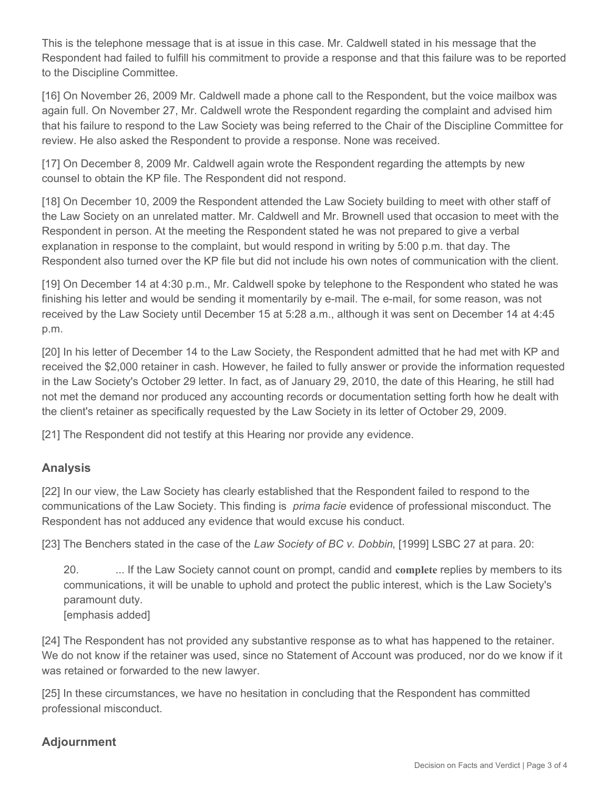This is the telephone message that is at issue in this case. Mr. Caldwell stated in his message that the Respondent had failed to fulfill his commitment to provide a response and that this failure was to be reported to the Discipline Committee.

[16] On November 26, 2009 Mr. Caldwell made a phone call to the Respondent, but the voice mailbox was again full. On November 27, Mr. Caldwell wrote the Respondent regarding the complaint and advised him that his failure to respond to the Law Society was being referred to the Chair of the Discipline Committee for review. He also asked the Respondent to provide a response. None was received.

[17] On December 8, 2009 Mr. Caldwell again wrote the Respondent regarding the attempts by new counsel to obtain the KP file. The Respondent did not respond.

[18] On December 10, 2009 the Respondent attended the Law Society building to meet with other staff of the Law Society on an unrelated matter. Mr. Caldwell and Mr. Brownell used that occasion to meet with the Respondent in person. At the meeting the Respondent stated he was not prepared to give a verbal explanation in response to the complaint, but would respond in writing by 5:00 p.m. that day. The Respondent also turned over the KP file but did not include his own notes of communication with the client.

[19] On December 14 at 4:30 p.m., Mr. Caldwell spoke by telephone to the Respondent who stated he was finishing his letter and would be sending it momentarily by e-mail. The e-mail, for some reason, was not received by the Law Society until December 15 at 5:28 a.m., although it was sent on December 14 at 4:45 p.m.

[20] In his letter of December 14 to the Law Society, the Respondent admitted that he had met with KP and received the \$2,000 retainer in cash. However, he failed to fully answer or provide the information requested in the Law Society's October 29 letter. In fact, as of January 29, 2010, the date of this Hearing, he still had not met the demand nor produced any accounting records or documentation setting forth how he dealt with the client's retainer as specifically requested by the Law Society in its letter of October 29, 2009.

[21] The Respondent did not testify at this Hearing nor provide any evidence.

## **Analysis**

[22] In our view, the Law Society has clearly established that the Respondent failed to respond to the communications of the Law Society. This finding is *prima facie* evidence of professional misconduct. The Respondent has not adduced any evidence that would excuse his conduct.

[23] The Benchers stated in the case of the *Law Society of BC v. Dobbin*, [1999] LSBC 27 at para. 20:

20. ... If the Law Society cannot count on prompt, candid and **complete** replies by members to its communications, it will be unable to uphold and protect the public interest, which is the Law Society's paramount duty. [emphasis added]

[24] The Respondent has not provided any substantive response as to what has happened to the retainer. We do not know if the retainer was used, since no Statement of Account was produced, nor do we know if it was retained or forwarded to the new lawyer.

[25] In these circumstances, we have no hesitation in concluding that the Respondent has committed professional misconduct.

# **Adjournment**